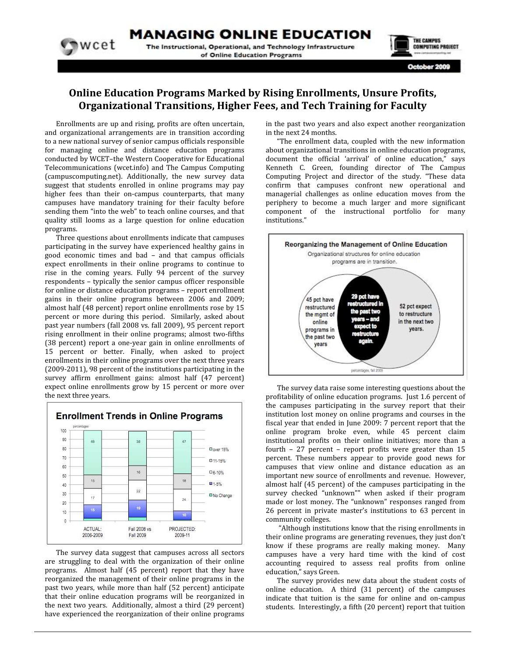**MANAGING ONLINE EDUCATION** 

The Instructional, Operational, and Technology Infrastructure of Online Education Programs



October 2009

#### **Online Education Programs Marked by Rising Enrollments, Unsure Profits,** Organizational Transitions, Higher Fees, and Tech Training for Faculty

Enrollments are up and rising, profits are often uncertain, and organizational arrangements are in transition according to a new national survey of senior campus officials responsible for managing online and distance education programs conducted by WCET-the Western Cooperative for Educational Telecommunications (wcet.info) and The Campus Computing (campuscomputing.net). Additionally, the new survey data suggest that students enrolled in online programs may pay higher fees than their on-campus counterparts, that many campuses have mandatory training for their faculty before sending them "into the web" to teach online courses, and that quality still looms as a large question for online education programs.

wcet

Three questions about enrollments indicate that campuses participating in the survey have experienced healthy gains in good economic times and bad - and that campus officials expect enrollments in their online programs to continue to rise in the coming years. Fully 94 percent of the survey respondents - typically the senior campus officer responsible for online or distance education programs - report enrollment gains in their online programs between 2006 and 2009; almost half (48 percent) report online enrollments rose by 15 percent or more during this period. Similarly, asked about past year numbers (fall 2008 vs. fall 2009), 95 percent report rising enrollment in their online programs; almost two-fifths (38 percent) report a one-year gain in online enrollments of 15 percent or better. Finally, when asked to project enrollments in their online programs over the next three years (2009-2011), 98 percent of the institutions participating in the survey affirm enrollment gains: almost half (47 percent) expect online enrollments grow by 15 percent or more over the next three years.



The survey data suggest that campuses across all sectors are struggling to deal with the organization of their online programs. Almost half (45 percent) report that they have reorganized the management of their online programs in the past two years, while more than half (52 percent) anticipate that their online education programs will be reorganized in the next two years. Additionally, almost a third (29 percent) have experienced the reorganization of their online programs in the past two years and also expect another reorganization in the next 24 months.

"The enrollment data, coupled with the new information about organizational transitions in online education programs, document the official 'arrival' of online education," says Kenneth C. Green, founding director of The Campus Computing Project and director of the study. "These data confirm that campuses confront new operational and managerial challenges as online education moves from the periphery to become a much larger and more significant component of the instructional portfolio for many institutions."



The survey data raise some interesting questions about the profitability of online education programs. Just 1.6 percent of the campuses participating in the survey report that their institution lost money on online programs and courses in the fiscal year that ended in June 2009: 7 percent report that the online program broke even, while 45 percent claim institutional profits on their online initiatives: more than a fourth  $-27$  percent  $-$  report profits were greater than 15 percent. These numbers appear to provide good news for campuses that view online and distance education as an important new source of enrollments and revenue. However, almost half (45 percent) of the campuses participating in the survey checked "unknown"" when asked if their program made or lost money. The "unknown" responses ranged from 26 percent in private master's institutions to 63 percent in community colleges.

"Although institutions know that the rising enrollments in their online programs are generating revenues, they just don't know if these programs are really making money. Many campuses have a very hard time with the kind of cost accounting required to assess real profits from online education," says Green.

The survey provides new data about the student costs of online education. A third (31 percent) of the campuses indicate that tuition is the same for online and on-campus students. Interestingly, a fifth (20 percent) report that tuition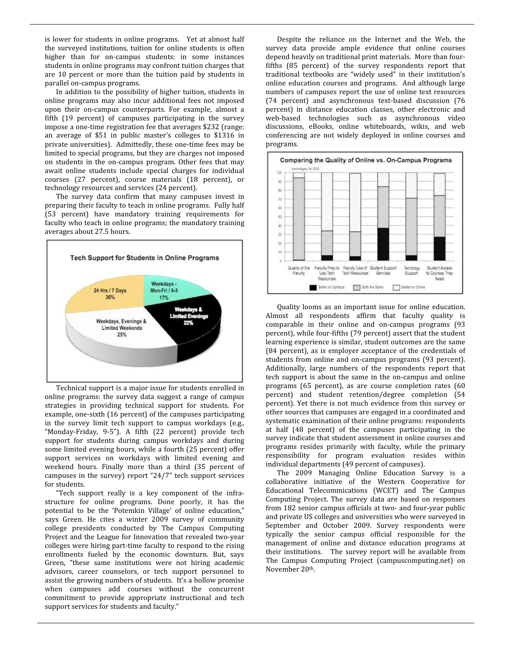is lower for students in online programs. Yet at almost half the surveyed institutions, tuition for online students is often higher than for on-campus students: in some instances students in online programs may confront tuition charges that are 10 percent or more than the tuition paid by students in parallel on-campus programs.

In addition to the possibility of higher tuition, students in online programs may also incur additional fees not imposed upon their on-campus counterparts. For example, almost a fifth (19 percent) of campuses participating in the survey impose a one-time registration fee that averages \$232 (range: an average of \$51 in public master's colleges to \$1316 in private universities). Admittedly, these one-time fees may be limited to special programs, but they are charges not imposed on students in the on-campus program. Other fees that may await online students include special charges for individual courses (27 percent), course materials (18 percent), or technology resources and services (24 percent).

The survey data confirm that many campuses invest in preparing their faculty to teach in online programs. Fully half (53 percent) have mandatory training requirements for faculty who teach in online programs; the mandatory training averages about 27.5 hours.



Technical support is a major issue for students enrolled in online programs: the survey data suggest a range of campus strategies in providing technical support for students. For example, one-sixth (16 percent) of the campuses participating in the survey limit tech support to campus workdays (e.g., "Monday-Friday, 9-5"). A fifth (22 percent) provide tech support for students during campus workdays and during some limited evening hours, while a fourth (25 percent) offer support services on workdays with limited evening and weekend hours. Finally more than a third (35 percent of campuses in the survey) report "24/7" tech support services for students.

"Tech support really is a key component of the infrastructure for online programs. Done poorly, it has the potential to be the 'Potemkin Village' of online education," says Green. He cites a winter 2009 survey of community college presidents conducted by The Campus Computing Project and the League for Innovation that revealed two-year colleges were hiring part-time faculty to respond to the rising enrollments fueled by the economic downturn. But, says Green, "these same institutions were not hiring academic advisors, career counselors, or tech support personnel to assist the growing numbers of students. It's a hollow promise when campuses add courses without the concurrent commitment to provide appropriate instructional and tech support services for students and faculty."

Despite the reliance on the Internet and the Web, the survey data provide ample evidence that online courses depend heavily on traditional print materials. More than fourfifths (85 percent) of the survey respondents report that traditional textbooks are "widely used" in their institution's online education courses and programs. And although large numbers of campuses report the use of online text resources (74 percent) and asynchronous text-based discussion (76 percent) in distance education classes, other electronic and web-based technologies such as asynchronous video discussions, eBooks, online whiteboards, wikis, and web conferencing are not widely deployed in online courses and programs.



Quality looms as an important issue for online education. Almost all respondents affirm that faculty quality is comparable in their online and on-campus programs (93 percent), while four-fifths (79 percent) assert that the student learning experience is similar, student outcomes are the same (84 percent), as is employer acceptance of the credentials of students from online and on-campus programs (93 percent). Additionally, large numbers of the respondents report that tech support is about the same in the on-campus and online programs (65 percent), as are course completion rates (60 percent) and student retention/degree completion (54 percent). Yet there is not much evidence from this survey or other sources that campuses are engaged in a coordinated and systematic examination of their online programs: respondents at half (48 percent) of the campuses participating in the survey indicate that student assessment in online courses and programs resides primarily with faculty, while the primary responsibility for program evaluation resides within individual departments (49 percent of campuses).

The 2009 Managing Online Education Survey is a collaborative initiative of the Western Cooperative for Educational Telecommications (WCET) and The Campus Computing Project. The survey data are based on responses from 182 senior campus officials at two- and four-year public and private US colleges and universities who were surveyed in September and October 2009. Survey respondents were typically the senior campus official responsible for the management of online and distance education programs at their institutions. The survey report will be available from The Campus Computing Project (campuscomputing.net) on November 20th.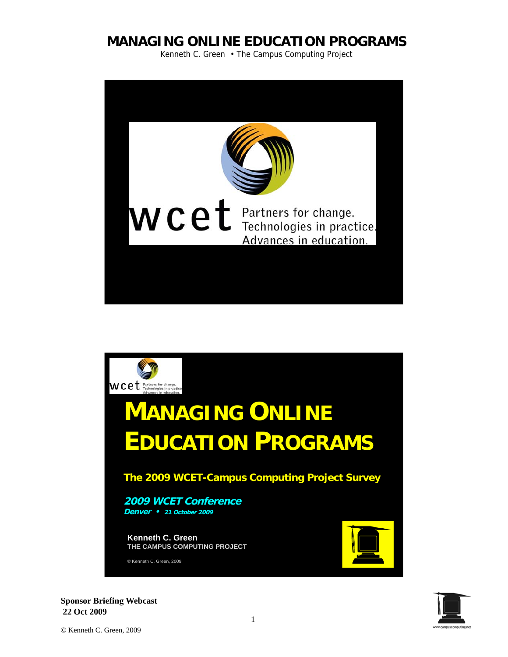Kenneth C. Green • The Campus Computing Project





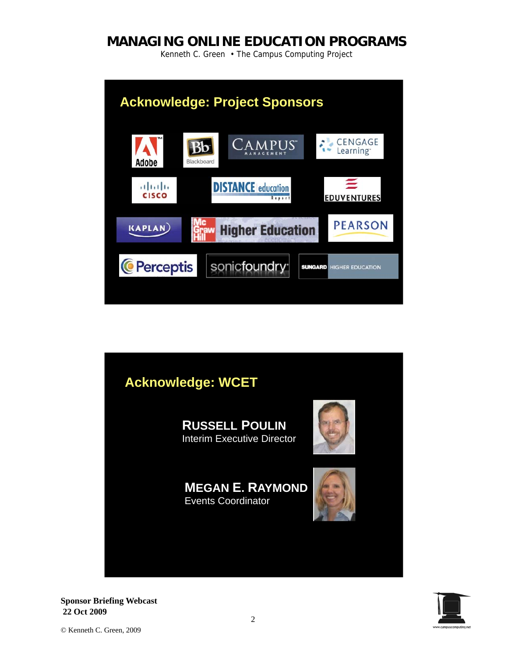Kenneth C. Green • The Campus Computing Project



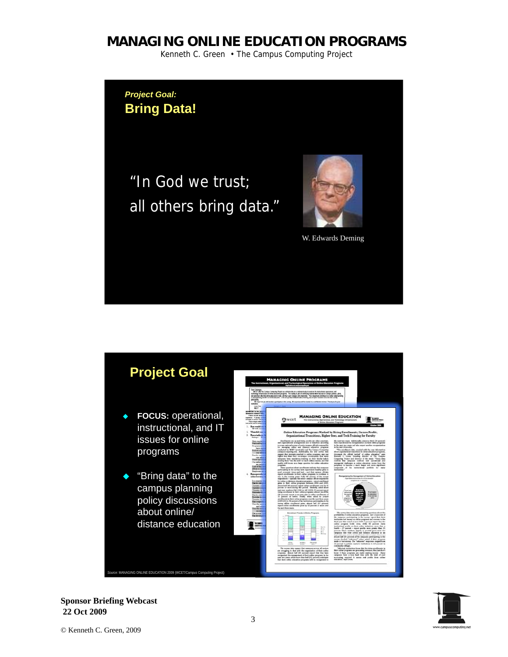Kenneth C. Green • The Campus Computing Project

*Project Goal:* **Bring Data!** 

"In God we trust; all others bring data."



W. Edwards Deming



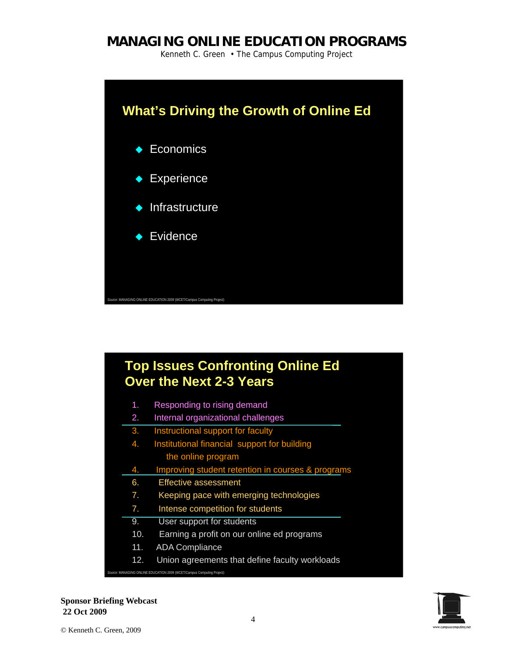Kenneth C. Green • The Campus Computing Project



#### **Top Issues Confronting Online Ed Over the Next 2-3 Years**  7. Intense competition for students 1. Responding to rising demand 2. Internal organizational challenges 3. Instructional support for faculty 4. Institutional financial support for building the online program 4. Improving student retention in courses & programs 6. Effective assessment 7. Keeping pace with emerging technologies 9. User support for students 10. Earning a profit on our online ed programs 11. ADA Compliance 12. Union agreements that define faculty workloads *Source:* MANAGING ONLINE EDUCATION 2009 (WCET/Campus Computing Project)

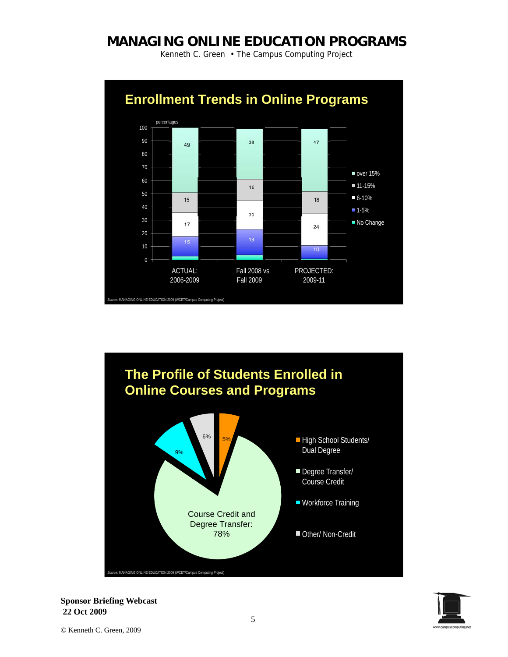Kenneth C. Green • The Campus Computing Project





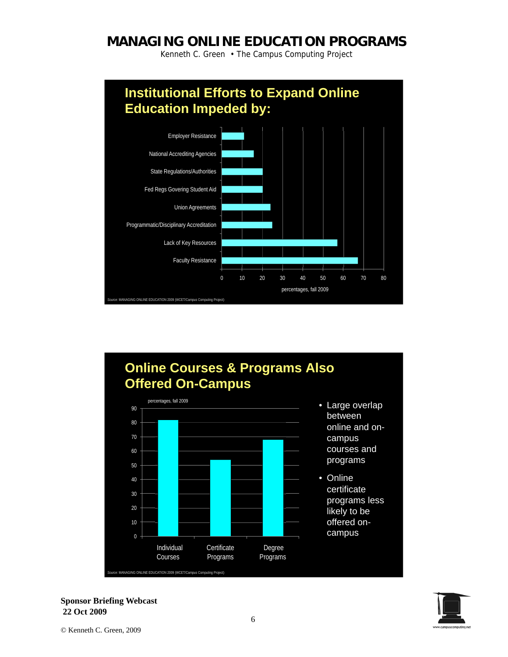Kenneth C. Green • The Campus Computing Project



## **Online Courses & Programs Also Offered On-Campus**  percentages, fall 2009



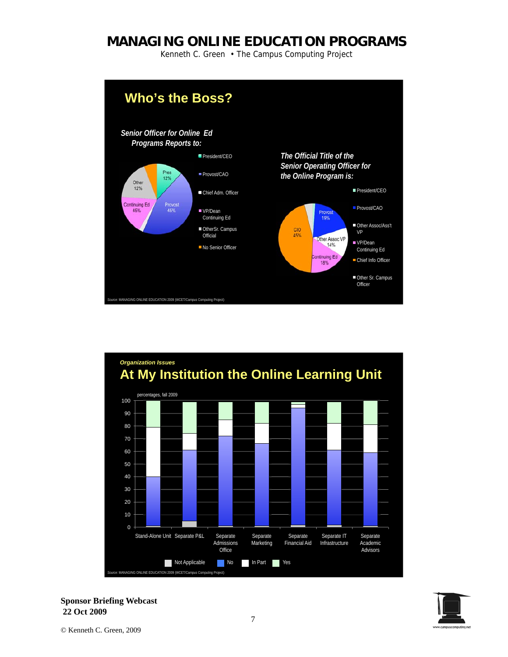Kenneth C. Green • The Campus Computing Project





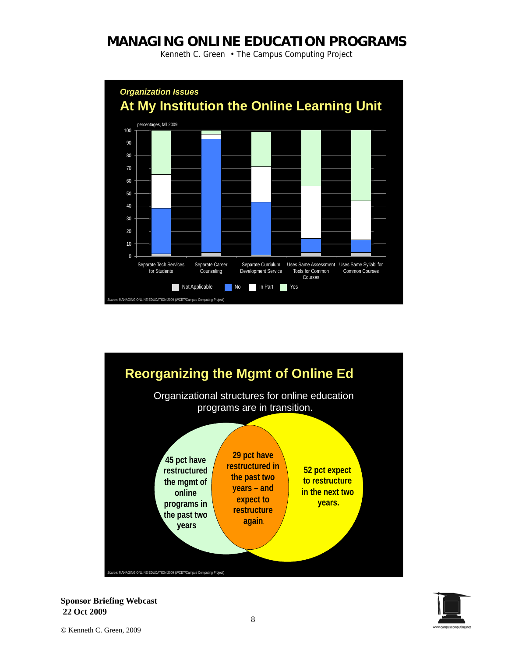Kenneth C. Green • The Campus Computing Project





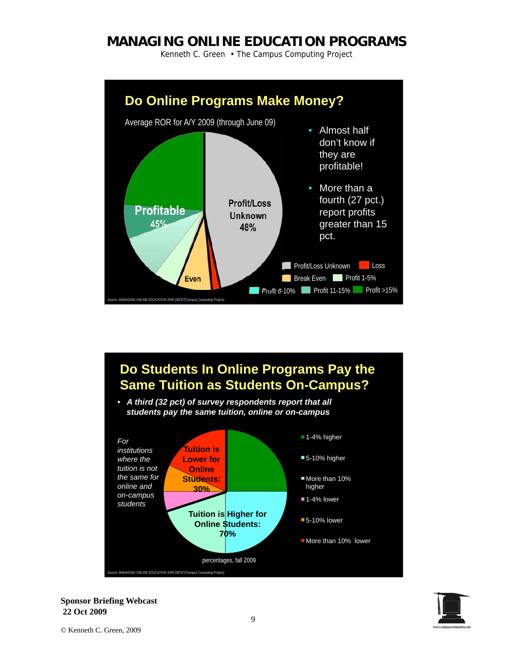Kenneth C. Green • The Campus Computing Project





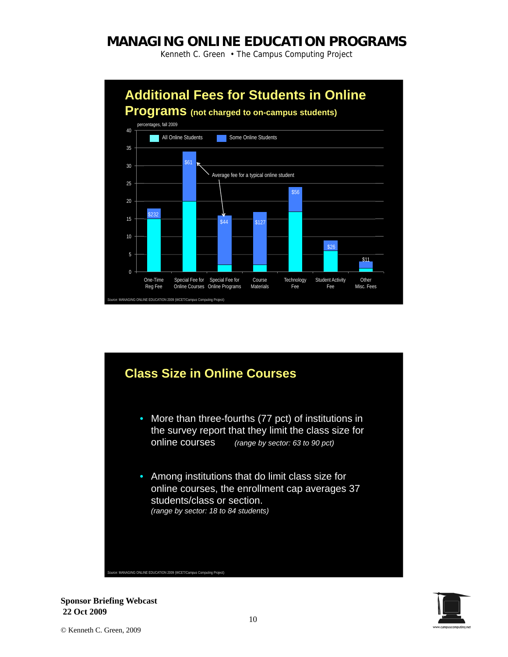Kenneth C. Green • The Campus Computing Project





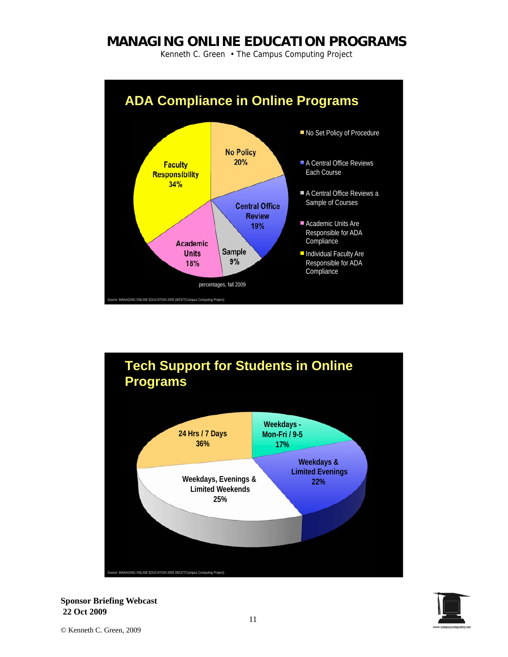Kenneth C. Green • The Campus Computing Project





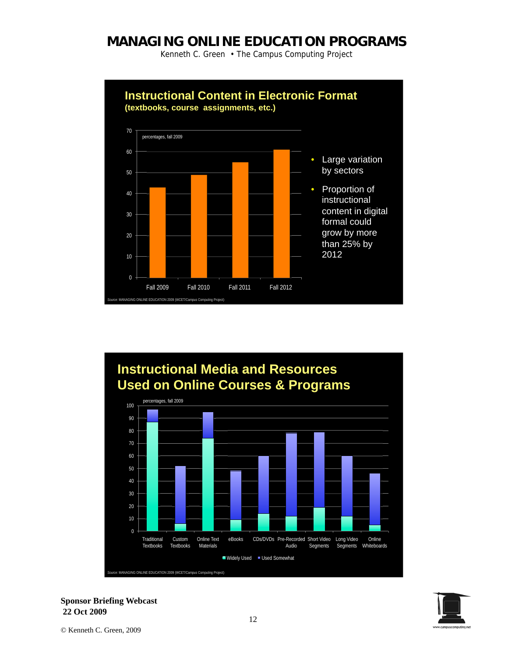Kenneth C. Green • The Campus Computing Project





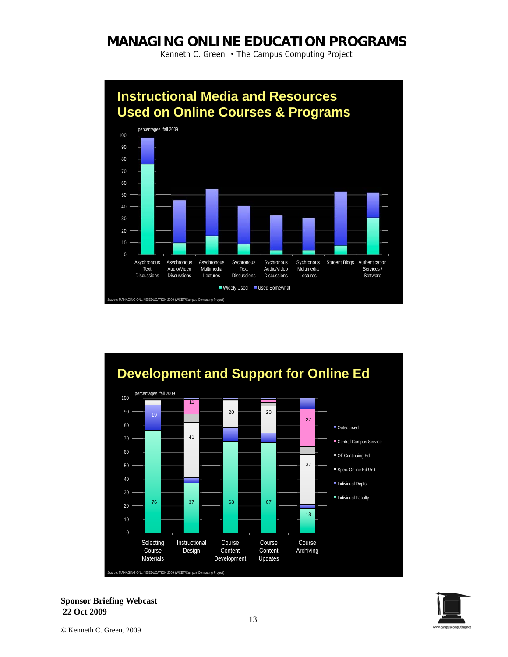Kenneth C. Green • The Campus Computing Project





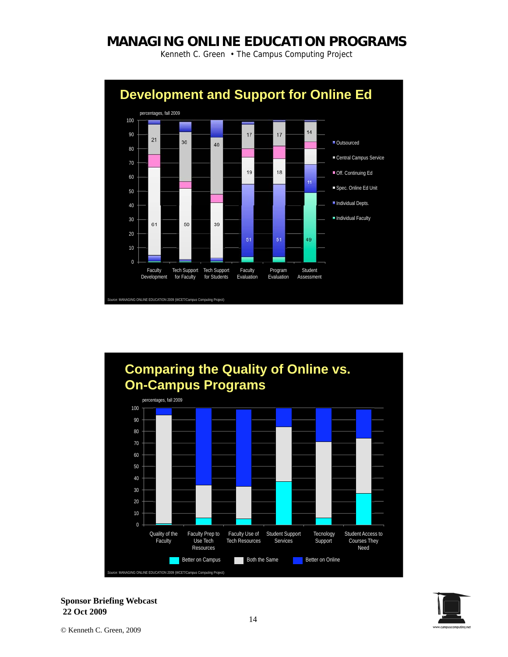Kenneth C. Green • The Campus Computing Project





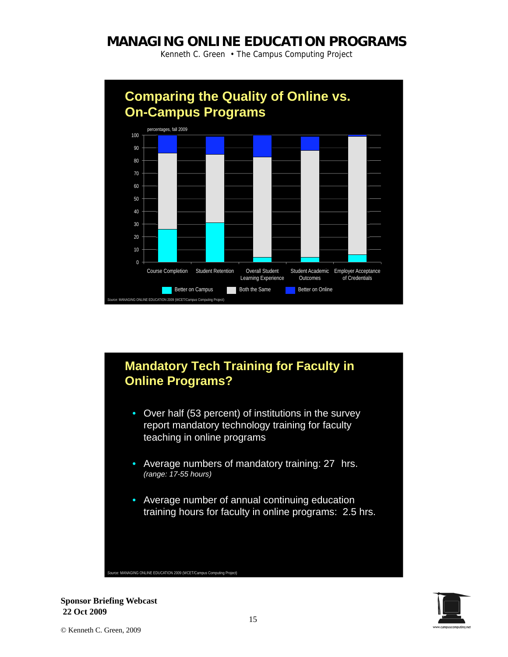Kenneth C. Green • The Campus Computing Project



# **Mandatory Tech Training for Faculty in Online Programs?**

- Over half (53 percent) of institutions in the survey report mandatory technology training for faculty teaching in online programs
- Average numbers of mandatory training: 27 hrs. *(range: 17-55 hours)*
- Average number of annual continuing education training hours for faculty in online programs: 2.5 hrs.

*Source:* MANAGING ONLINE EDUCATION 2009 (WCET/Campus Computing Project)

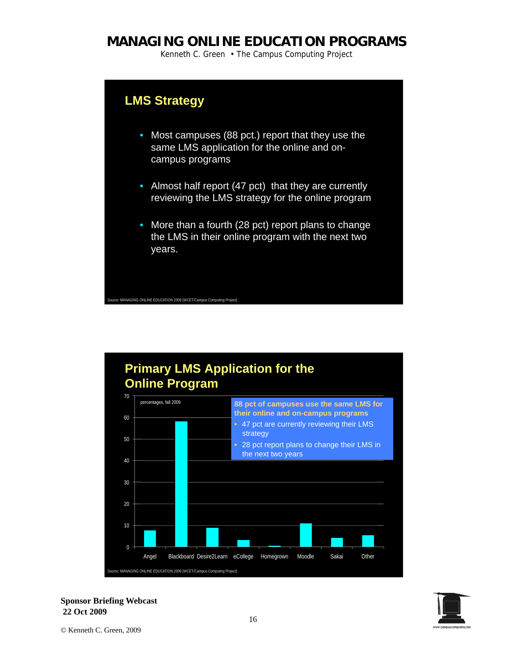Kenneth C. Green • The Campus Computing Project

## **LMS Strategy**

*Source:* MANAGING ONLINE EDUCATION 2009 (WCET/Campus Computing Project)

- Most campuses (88 pct.) report that they use the same LMS application for the online and oncampus programs
- Almost half report (47 pct) that they are currently reviewing the LMS strategy for the online program
- More than a fourth (28 pct) report plans to change the LMS in their online program with the next two years.

**Primary LMS Application for the Online Program**  percentages, fall 2009  $\overline{0}$ 20 30 40 50 60 70 Angel Blackboard Desire2Learn eCollege Homegrown Moodle Sakai Other **88 pct of campuses use the same LMS for their online and on-campus programs**  • 47 pct are currently reviewing their LMS strategy • 28 pct report plans to change their LMS in the next two years *Source:* MANAGING ONLINE EDUCATION 2009 (WCET/Campus Computing Project)

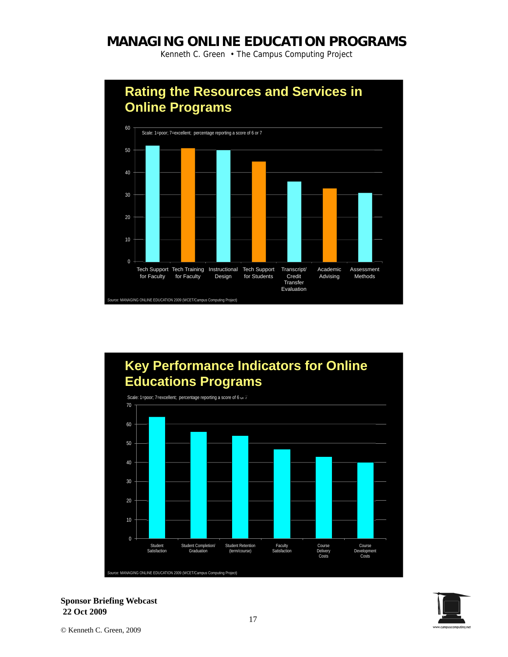Kenneth C. Green • The Campus Computing Project



#### **Key Performance Indicators for Online Educations Programs**  Scale: 1=poor; 7=excellent; percentage reporting a score of 6 or 7 0 10 20 30 40 50 60 70 Student Satisfaction Student Completion/ Graduation Student Retention (term/course) Faculty Satisfaction Course Delivery Costs Course Development Costs *Source:* MANAGING ONLINE EDUCATION 2009 (WCET/Campus Computing Project)